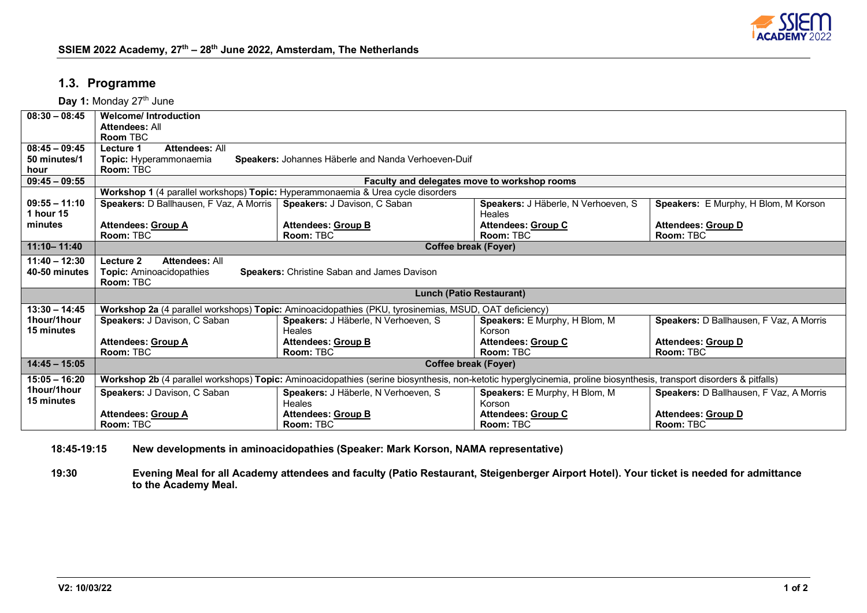

## **1.3. Programme**

**Day 1:** Monday 27<sup>th</sup> June

| $08:30 - 08:45$ | <b>Welcome/Introduction</b>                                                                                                                                          |                                                                                                       |                                     |                                         |  |  |  |
|-----------------|----------------------------------------------------------------------------------------------------------------------------------------------------------------------|-------------------------------------------------------------------------------------------------------|-------------------------------------|-----------------------------------------|--|--|--|
|                 | <b>Attendees: All</b>                                                                                                                                                |                                                                                                       |                                     |                                         |  |  |  |
|                 | <b>Room TBC</b>                                                                                                                                                      |                                                                                                       |                                     |                                         |  |  |  |
| $08:45 - 09:45$ | Attendees: All<br>Lecture 1                                                                                                                                          |                                                                                                       |                                     |                                         |  |  |  |
| 50 minutes/1    | Topic: Hyperammonaemia<br>Speakers: Johannes Häberle and Nanda Verhoeven-Duif                                                                                        |                                                                                                       |                                     |                                         |  |  |  |
| hour            | <b>Room: TBC</b>                                                                                                                                                     |                                                                                                       |                                     |                                         |  |  |  |
| $09:45 - 09:55$ | Faculty and delegates move to workshop rooms                                                                                                                         |                                                                                                       |                                     |                                         |  |  |  |
|                 | Workshop 1 (4 parallel workshops) Topic: Hyperammonaemia & Urea cycle disorders                                                                                      |                                                                                                       |                                     |                                         |  |  |  |
| $09:55 - 11:10$ | Speakers: D Ballhausen, F Vaz, A Morris                                                                                                                              | Speakers: J Davison, C Saban                                                                          | Speakers: J Häberle, N Verhoeven, S | Speakers: E Murphy, H Blom, M Korson    |  |  |  |
| 1 hour 15       |                                                                                                                                                                      |                                                                                                       | Heales                              |                                         |  |  |  |
| minutes         | Attendees: Group A                                                                                                                                                   | Attendees: Group B                                                                                    | Attendees: Group C                  | Attendees: Group D                      |  |  |  |
|                 | Room: TBC                                                                                                                                                            | Room: TBC                                                                                             | Room: TBC                           | Room: TBC                               |  |  |  |
| $11:10 - 11:40$ | <b>Coffee break (Foyer)</b>                                                                                                                                          |                                                                                                       |                                     |                                         |  |  |  |
| $11:40 - 12:30$ | Lecture 2<br><b>Attendees: All</b>                                                                                                                                   |                                                                                                       |                                     |                                         |  |  |  |
| 40-50 minutes   | <b>Topic:</b> Aminoacidopathies<br><b>Speakers:</b> Christine Saban and James Davison                                                                                |                                                                                                       |                                     |                                         |  |  |  |
|                 | <b>Room: TBC</b>                                                                                                                                                     |                                                                                                       |                                     |                                         |  |  |  |
|                 | <b>Lunch (Patio Restaurant)</b>                                                                                                                                      |                                                                                                       |                                     |                                         |  |  |  |
| $13:30 - 14:45$ |                                                                                                                                                                      | Workshop 2a (4 parallel workshops) Topic: Aminoacidopathies (PKU, tyrosinemias, MSUD, OAT deficiency) |                                     |                                         |  |  |  |
| 1hour/1hour     | Speakers: J Davison, C Saban                                                                                                                                         | Speakers: J Häberle, N Verhoeven, S                                                                   | Speakers: E Murphy, H Blom, M       | Speakers: D Ballhausen, F Vaz, A Morris |  |  |  |
| 15 minutes      |                                                                                                                                                                      | <b>Heales</b>                                                                                         | Korson                              |                                         |  |  |  |
|                 | Attendees: Group A                                                                                                                                                   | <b>Attendees: Group B</b>                                                                             | Attendees: Group C                  | Attendees: Group D                      |  |  |  |
|                 | Room: TBC                                                                                                                                                            | Room: TBC                                                                                             | <b>Room: TBC</b>                    | Room: TBC                               |  |  |  |
| $14:45 - 15:05$ | Coffee break (Foyer)                                                                                                                                                 |                                                                                                       |                                     |                                         |  |  |  |
| $15:05 - 16:20$ | Workshop 2b (4 parallel workshops) Topic: Aminoacidopathies (serine biosynthesis, non-ketotic hyperglycinemia, proline biosynthesis, transport disorders & pitfalls) |                                                                                                       |                                     |                                         |  |  |  |
| 1hour/1hour     | Speakers: J Davison, C Saban                                                                                                                                         | Speakers: J Häberle, N Verhoeven, S                                                                   | Speakers: E Murphy, H Blom, M       | Speakers: D Ballhausen, F Vaz, A Morris |  |  |  |
| 15 minutes      |                                                                                                                                                                      | <b>Heales</b>                                                                                         | Korson                              |                                         |  |  |  |
|                 | <b>Attendees: Group A</b>                                                                                                                                            | <b>Attendees: Group B</b>                                                                             | <b>Attendees: Group C</b>           | <b>Attendees: Group D</b>               |  |  |  |
|                 | Room: TBC                                                                                                                                                            | Room: TBC                                                                                             | Room: TBC                           | Room: TBC                               |  |  |  |

**18:45-19:15 New developments in aminoacidopathies (Speaker: Mark Korson, NAMA representative)**

**19:30 Evening Meal for all Academy attendees and faculty (Patio Restaurant, Steigenberger Airport Hotel). Your ticket is needed for admittance to the Academy Meal.**